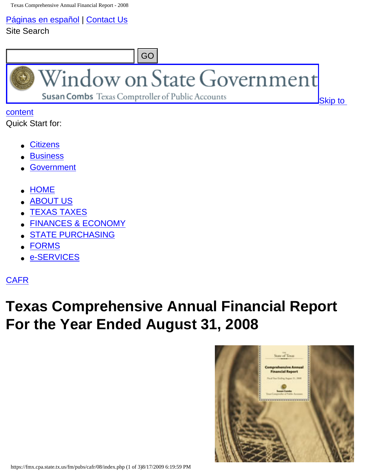[Páginas en español](http://www.window.state.tx.us/comptrol/espanol.html) | [Contact Us](http://www.window.state.tx.us/contact.html) Site Search



Quick Start for:

- **[Citizens](http://www.window.state.tx.us/citizens.html)**
- **[Business](http://www.window.state.tx.us/business.html)**
- **[Government](http://www.window.state.tx.us/government.html)**
- [HOME](http://www.window.state.tx.us/)
- **[ABOUT US](http://www.window.state.tx.us/about/)**
- **[TEXAS TAXES](http://www.window.state.tx.us/taxes/)**
- **[FINANCES & ECONOMY](http://www.window.state.tx.us/finances/)**
- **[STATE PURCHASING](http://www.window.state.tx.us/procurement/)**
- **[FORMS](http://www.window.state.tx.us/forms/)**
- [e-SERVICES](http://www.window.state.tx.us/services/)

<span id="page-0-0"></span>**[CAFR](https://fmx.cpa.state.tx.us/fm/pubs/cafr/index.php)** 

## **Texas Comprehensive Annual Financial Report For the Year Ended August 31, 2008**

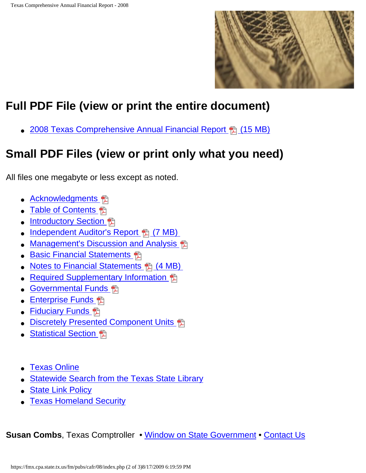

## **Full PDF File (view or print the entire document)**

• 2008 Texas Comprehensive Annual Financial Report 鴨 (15 MB)

## **Small PDF Files (view or print only what you need)**

All files one megabyte or less except as noted.

- [Acknowledgments](https://fmx.cpa.state.tx.us/fm/pubs/cafr/08/pdf/08_cafr_acknow.pdf) 配
- [Table of Contents](https://fmx.cpa.state.tx.us/fm/pubs/cafr/08/pdf/08_cafr_toc.pdf) **鴨**
- **Introductory Section** 日
- Independent Auditor's Report 鴨 (7 MB)
- [Management's Discussion and Analysis](https://fmx.cpa.state.tx.us/fm/pubs/cafr/08/pdf/08_cafr_mda.pdf) 鴨
- [Basic Financial Statements](https://fmx.cpa.state.tx.us/fm/pubs/cafr/08/pdf/08_cafr_basic.pdf) 图
- Notes to Financial Statements H (4 MB)
- [Required Supplementary Information](https://fmx.cpa.state.tx.us/fm/pubs/cafr/08/pdf/08_cafr_supp.pdf) 鴨
- [Governmental Funds](https://fmx.cpa.state.tx.us/fm/pubs/cafr/08/pdf/08_cafr_govt_funds.pdf) 鴨
- [Enterprise Funds](https://fmx.cpa.state.tx.us/fm/pubs/cafr/08/pdf/08_cafr_ent_funds.pdf) 鴨
- **Fiduciary Funds** 鴨
- **Discretely Presented Component Units**
- **Statistical Section** 偶
- **[Texas Online](http://www.texasonline.com/)**
- [Statewide Search from the Texas State Library](http://www.tsl.state.tx.us/trail/)
- [State Link Policy](http://www.dir.state.tx.us/standards/link_policy.htm)
- [Texas Homeland Security](http://www.texashomelandsecurity.com/)

**Susan Combs**, Texas Comptroller • [Window on State Government](http://www.window.state.tx.us/) • [Contact Us](http://www.window.state.tx.us/contact.html)